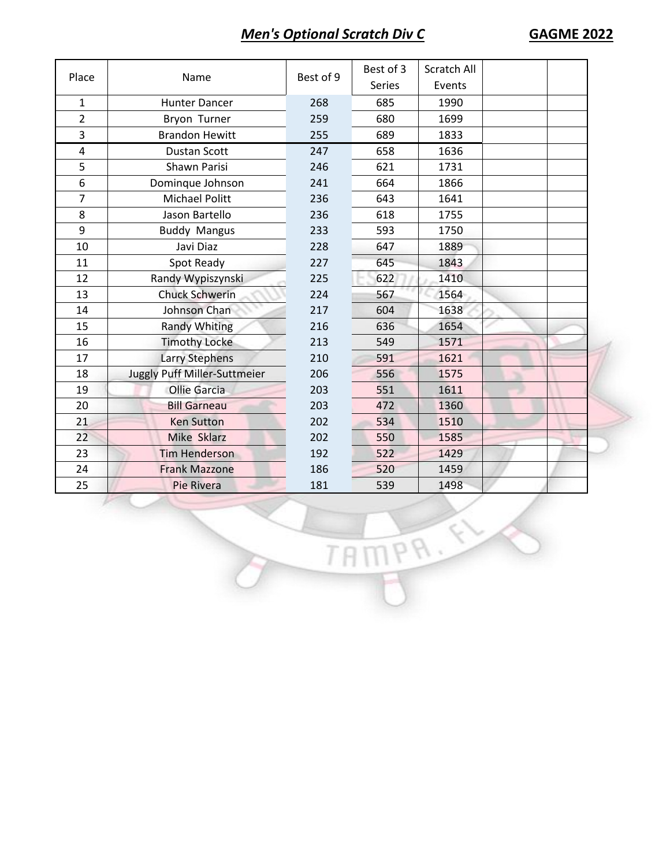## *Men's Optional Scratch Div C* **GAGME 2022**

| Place          | Name                         | Best of 9 | Best of 3<br><b>Series</b> | Scratch All<br>Events |  |
|----------------|------------------------------|-----------|----------------------------|-----------------------|--|
| $\mathbf{1}$   | <b>Hunter Dancer</b>         | 268       | 685                        | 1990                  |  |
| $\overline{2}$ | Bryon Turner                 | 259       | 680                        | 1699                  |  |
| 3              | <b>Brandon Hewitt</b>        | 255       | 689                        | 1833                  |  |
| $\overline{4}$ | <b>Dustan Scott</b>          | 247       | 658                        | 1636                  |  |
| 5              | Shawn Parisi                 | 246       | 621                        | 1731                  |  |
| 6              | Dominque Johnson             | 241       | 664                        | 1866                  |  |
| $\overline{7}$ | <b>Michael Politt</b>        | 236       | 643                        | 1641                  |  |
| 8              | Jason Bartello               | 236       | 618                        | 1755                  |  |
| 9              | <b>Buddy Mangus</b>          | 233       | 593                        | 1750                  |  |
| 10             | Javi Diaz                    | 228       | 647                        | 1889                  |  |
| 11             | Spot Ready                   | 227       | 645                        | 1843                  |  |
| 12             | Randy Wypiszynski            | 225       | 622                        | 1410                  |  |
| 13             | <b>Chuck Schwerin</b>        | 224       | 567                        | 1564                  |  |
| 14             | Johnson Chan                 | 217       | 604                        | 1638                  |  |
| 15             | <b>Randy Whiting</b>         | 216       | 636                        | 1654                  |  |
| 16             | <b>Timothy Locke</b>         | 213       | 549                        | 1571                  |  |
| 17             | <b>Larry Stephens</b>        | 210       | 591                        | 1621                  |  |
| 18             | Juggly Puff Miller-Suttmeier | 206       | 556                        | 1575                  |  |
| 19             | <b>Ollie Garcia</b>          | 203       | 551                        | 1611                  |  |
| 20             | <b>Bill Garneau</b>          | 203       | 472                        | 1360                  |  |
| 21             | <b>Ken Sutton</b>            | 202       | 534                        | 1510                  |  |
| 22             | <b>Mike Sklarz</b>           | 202       | 550                        | 1585                  |  |
| 23             | <b>Tim Henderson</b>         | 192       | 522                        | 1429                  |  |
| 24             | <b>Frank Mazzone</b>         | 186       | 520                        | 1459                  |  |
| 25             | <b>Pie Rivera</b>            | 181       | 539                        | 1498                  |  |

TAMPR.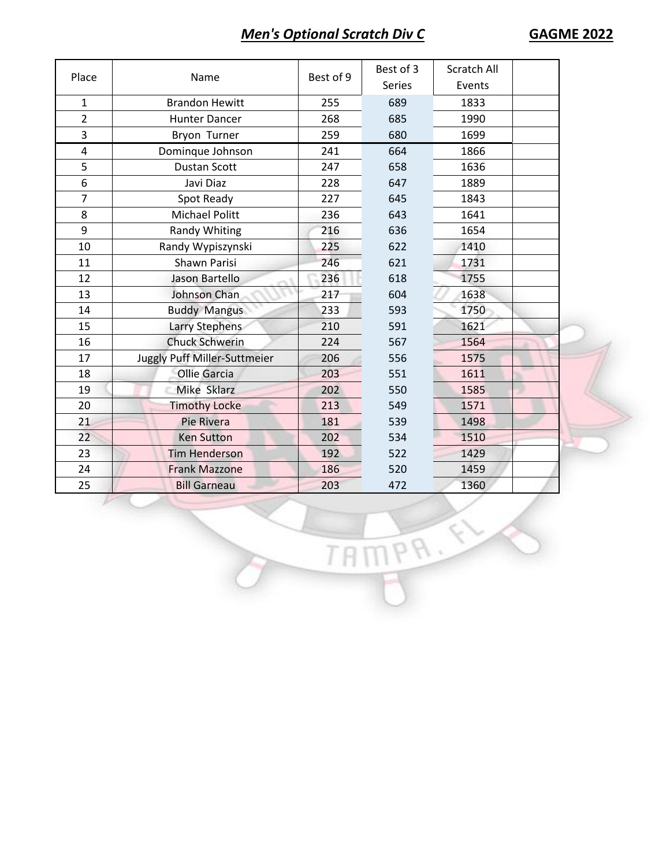## *Men's Optional Scratch Div C* **GAGME 2022**

| Place          | Name                         | Best of 9 | Best of 3<br><b>Series</b> | <b>Scratch All</b><br>Events |  |
|----------------|------------------------------|-----------|----------------------------|------------------------------|--|
| 1              | <b>Brandon Hewitt</b>        | 255       | 689                        | 1833                         |  |
| $\overline{2}$ | <b>Hunter Dancer</b>         | 268       | 685                        | 1990                         |  |
| 3              | Bryon Turner                 | 259       | 680                        | 1699                         |  |
| $\pmb{4}$      | Dominque Johnson             | 241       | 664                        | 1866                         |  |
| 5              | <b>Dustan Scott</b>          | 247       | 658                        | 1636                         |  |
| 6              | Javi Diaz                    | 228       | 647                        | 1889                         |  |
| $\overline{7}$ | Spot Ready                   | 227       | 645                        | 1843                         |  |
| 8              | <b>Michael Politt</b>        | 236       | 643                        | 1641                         |  |
| 9              | <b>Randy Whiting</b>         | 216       | 636                        | 1654                         |  |
| 10             | Randy Wypiszynski            | 225       | 622                        | 1410                         |  |
| 11             | Shawn Parisi                 | 246       | 621                        | 1731                         |  |
| 12             | Jason Bartello               | 236       | 618                        | 1755                         |  |
| 13             | Johnson Chan                 | 217       | 604                        | 1638                         |  |
| 14             | <b>Buddy Mangus</b>          | 233       | 593                        | 1750                         |  |
| 15             | Larry Stephens               | 210       | 591                        | 1621                         |  |
| 16             | <b>Chuck Schwerin</b>        | 224       | 567                        | 1564                         |  |
| 17             | Juggly Puff Miller-Suttmeier | 206       | 556                        | 1575                         |  |
| 18             | <b>Ollie Garcia</b>          | 203       | 551                        | 1611                         |  |
| 19             | Mike Sklarz                  | 202       | 550                        | 1585                         |  |
| 20             | <b>Timothy Locke</b>         | 213       | 549                        | 1571                         |  |
| 21             | <b>Pie Rivera</b>            | 181       | 539                        | 1498                         |  |
| 22             | <b>Ken Sutton</b>            | 202       | 534                        | 1510                         |  |
| 23             | <b>Tim Henderson</b>         | 192       | 522                        | 1429                         |  |
| 24             | <b>Frank Mazzone</b>         | 186       | 520                        | 1459                         |  |
| 25             | <b>Bill Garneau</b>          | 203       | 472                        | 1360                         |  |

TAMPR.